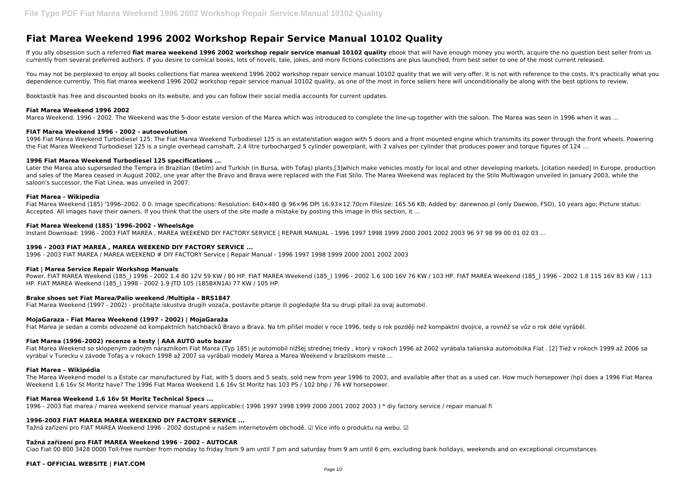# **Fiat Marea Weekend 1996 2002 Workshop Repair Service Manual 10102 Quality**

If you ally obsession such a referred fiat marea weekend 1996 2002 workshop repair service manual 10102 quality ebook that will have enough money you worth, acquire the no question best seller from us currently from several preferred authors. If you desire to comical books, lots of novels, tale, jokes, and more fictions collections are plus launched, from best seller to one of the most current released.

You may not be perplexed to enjoy all books collections fiat marea weekend 1996 2002 workshop repair service manual 10102 quality that we will very offer. It is not with reference to the costs. It's practically what you dependence currently. This fiat marea weekend 1996 2002 workshop repair service manual 10102 quality, as one of the most in force sellers here will unconditionally be along with the best options to review.

1996 Fiat Marea Weekend Turbodiesel 125: The Fiat Marea Weekend Turbodiesel 125 is an estate/station wagon with 5 doors and a front mounted engine which transmits its power through the front wheels. Powering the Fiat Marea Weekend Turbodiesel 125 is a single overhead camshaft, 2.4 litre turbocharged 5 cylinder powerplant, with 2 valves per cylinder that produces power and torque figures of 124 ...

Booktastik has free and discounted books on its website, and you can follow their social media accounts for current updates.

#### **Fiat Marea Weekend 1996 2002**

Later the Marea also superseded the Tempra in Brazilian (Betim) and Turkish (in Bursa, with Tofas) plants,[3]which make vehicles mostly for local and other developing markets. [citation needed] In Europe, production and sales of the Marea ceased in August 2002, one year after the Bravo and Brava were replaced with the Fiat Stilo. The Marea Weekend was replaced by the Stilo Multiwagon unveiled in January 2003, while the saloon's successor, the Fiat Linea, was unveiled in 2007.

Marea Weekend. 1996 - 2002. The Weekend was the 5-door estate version of the Marea which was introduced to complete the line-up together with the saloon. The Marea was seen in 1996 when it was ...

Fiat Marea Weekend (185) '1996-2002. 0 0. Image specifications: Resolution: 640×480 @ 96×96 DPI 16.93×12.70cm Filesize: 165.56 KB; Added by: darewnoo.pl (only Daewoo, FSO), 10 years ago; Picture status: Accepted. All images have their owners. If you think that the users of the site made a mistake by posting this image in this section, it ...

#### **FIAT Marea Weekend 1996 - 2002 - autoevolution**

Power. FIAT MAREA Weekend (185\_) 1996 - 2002 1.4 80 12V 59 KW / 80 HP. FIAT MAREA Weekend (185\_) 1996 - 2002 1.6 100 16V 76 KW / 103 HP. FIAT MAREA Weekend (185\_) 1996 - 2002 1.8 115 16V 83 KW / 113 HP. FIAT MAREA Weekend (185 ) 1998 - 2002 1.9 JTD 105 (185BXN1A) 77 KW / 105 HP.

## **1996 Fiat Marea Weekend Turbodiesel 125 specifications ...**

#### **Fiat Marea - Wikipedia**

#### **Fiat Marea Weekend (185) '1996–2002 - WheelsAge**

Instant Download: 1996 - 2003 FIAT MAREA , MAREA WEEKEND DIY FACTORY SERVICE | REPAIR MANUAL - 1996 1997 1998 1999 2000 2001 2002 2003 96 97 98 99 00 01 02 03 ...

## **1996 - 2003 FIAT MAREA , MAREA WEEKEND DIY FACTORY SERVICE ...**

1996 - 2003 FIAT MAREA / MAREA WEEKEND # DIY FACTORY Service | Repair Manual - 1996 1997 1998 1999 2000 2001 2002 2003

#### **Fiat | Marea Service Repair Workshop Manuals**

## **Brake shoes set Fiat Marea/Palio weekend /Multipla - BRS1847**

Fiat Marea Weekend (1997 - 2002) - pročitajte iskustva drugih vozača, postavite pitanje ili pogledajte šta su drugi pitali za ovaj automobil.

#### **MojaGaraza - Fiat Marea Weekend (1997 - 2002) | MojaGaraža**

Fiat Marea je sedan a combi odvozené od kompaktních hatchbacků Bravo a Brava. Na trh přišel model v roce 1996, tedy o rok později než kompaktní dvojice, a rovněž se vůz o rok déle vyráběl.

## **Fiat Marea (1996–2002) recenze a testy | AAA AUTO auto bazar**

Fiat Marea Weekend so sklopeným zadným nárazníkom Fiat Marea (Typ 185) je automobil nižšej strednej triedy , ktorý v rokoch 1996 až 2002 vyrábala talianska automobilka Fiat . [2] Tiež v rokoch 1999 až 2006 sa vyrábal v Turecku v závode Tofaş a v rokoch 1998 až 2007 sa vyrábali modely Marea a Marea Weekend v brazílskom meste ...

## **Fiat Marea – Wikipédia**

The Marea Weekend model is a Estate car manufactured by Fiat, with 5 doors and 5 seats, sold new from year 1996 to 2003, and available after that as a used car. How much horsepower (hp) does a 1996 Fiat Marea Weekend 1.6 16v St Moritz have? The 1996 Fiat Marea Weekend 1.6 16v St Moritz has 103 PS / 102 bhp / 76 kW horsepower.

## **Fiat Marea Weekend 1.6 16v St Moritz Technical Specs ...**

1996 - 2003 fiat marea / marea weekend service manual years applicable:( 1996 1997 1998 1999 2000 2001 2002 2003 ) \* diy factory service / repair manual fi

## **1996-2003 FIAT MAREA MAREA WEEKEND DIY FACTORY SERVICE ...**

Tažná zařízení pro FIAT MAREA Weekend 1996 - 2002 dostupné v našem internetovém obchodě. ☑️ Více info o produktu na webu. ☑️

## **Tažná zařízení pro FIAT MAREA Weekend 1996 - 2002 - AUTOCAR**

Ciao Fiat 00 800 3428 0000 Toll-free number from monday to friday from 9 am until 7 pm and saturday from 9 am until 6 pm, excluding bank holidays, weekends and on exceptional circumstances

## **FIAT - OFFICIAL WEBSITE | FIAT.COM**